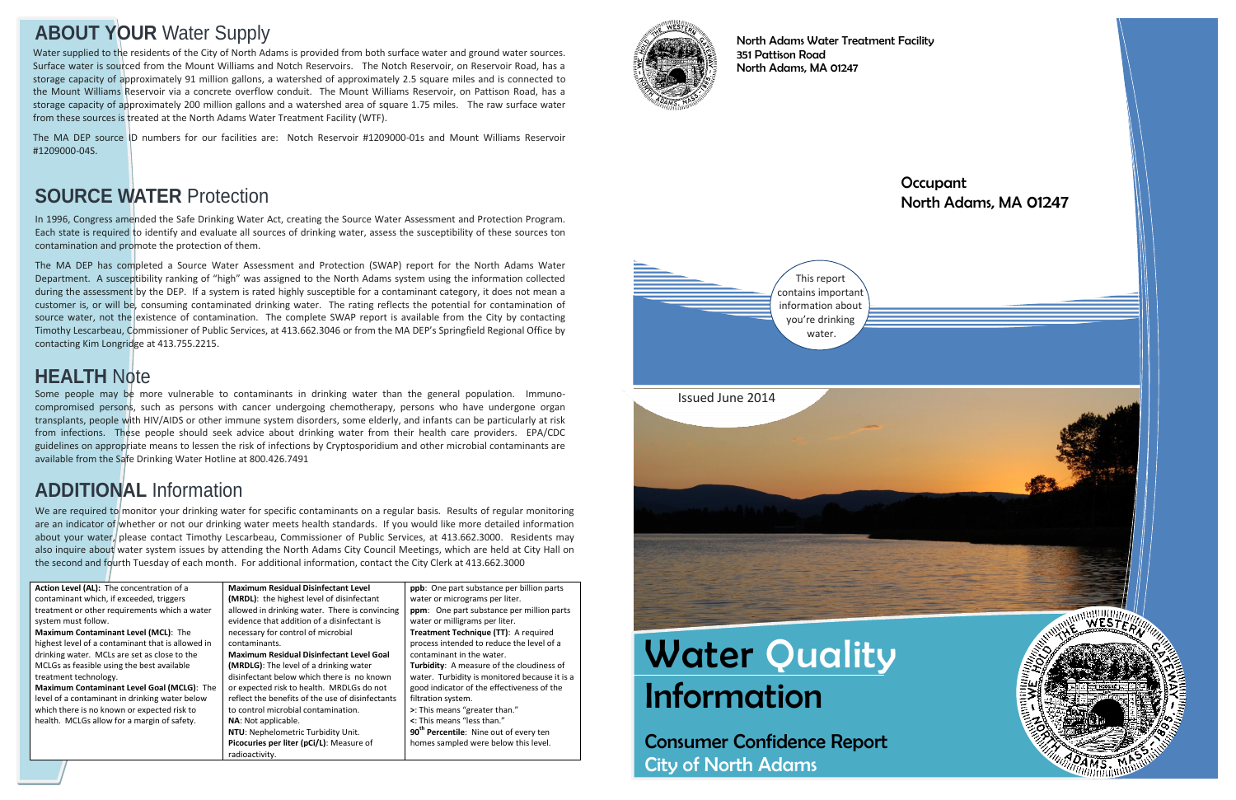# **Water Quality** Information

Consumer Confidence Report City of North Adams

### **Occupant** North Adams, MA 01247



North Adams Water Treatment Facility 351 Pattison Road North Adams, MA 01247

## **ABOUT YOUR** Water Supply

In 1996, Congress amended the Safe Drinking Water Act, creating the Source Water Assessment and Protection Program. Each state is required to identify and evaluate all sources of drinking water, assess the susceptibility of these sources ton contamination and promote the protection of them.

The MA DEP has completed a Source Water Assessment and Protection (SWAP) report for the North Adams Water Department. A susceptibility ranking of "high" was assigned to the North Adams system using the information collected during the assessment by the DEP. If a system is rated highly susceptible for a contaminant category, it does not mean a customer is, or will be, consuming contaminated drinking water. The rating reflects the potential for contamination of source water, not the existence of contamination. The complete SWAP report is available from the City by contacting Timothy Lescarbeau, Commissioner of Public Services, at 413.662.3046 or from the MA DEP's Springfield Regional Office by contacting Kim Longridge at 413.755.2215.

We are required to monitor your drinking water for specific contaminants on a regular basis. Results of regular monitoring are an indicator of whether or not our drinking water meets health standards. If you would like more detailed information about your water, please contact Timothy Lescarbeau, Commissioner of Public Services, at 413.662.3000. Residents may also inquire about water system issues by attending the North Adams City Council Meetings, which are held at City Hall on the second and fourth Tuesday of each month. For additional information, contact the City Clerk at 413.662.3000

## **SOURCE WATER** Protection

**Turbidity Unit.** pCi/L): Measure of radioactivity.

| <b>Action Level (AL):</b> The concentration of a  | <b>Maximum Residual</b> |
|---------------------------------------------------|-------------------------|
| contaminant which, if exceeded, triggers          | (MRDL): the highest     |
| treatment or other requirements which a water     | allowed in drinking     |
| system must follow.                               | evidence that additi    |
| Maximum Contaminant Level (MCL): The              | necessary for contro    |
| highest level of a contaminant that is allowed in | contaminants.           |
| drinking water. MCLs are set as close to the      | <b>Maximum Residual</b> |
| MCLGs as feasible using the best available        | (MRDLG): The level      |
| treatment technology.                             | disinfectant below y    |
| <b>Maximum Contaminant Level Goal (MCLG): The</b> | or expected risk to h   |
| level of a contaminant in drinking water below    | reflect the benefits o  |
| which there is no known or expected risk to       | to control microbial    |
| health. MCLGs allow for a margin of safety.       | NA: Not applicable.     |
|                                                   | NTU: Nephelometrio      |
|                                                   | Picocuries per liter (  |
|                                                   | radioactivity.          |

**Disinfectant Level** t level of disinfectant water. There is convincing ion of a disinfectant is ol of microbial **Disinfectant Level Goal** of a drinking water which there is no known ealth. MRDLGs do not of the use of disinfectants contamination.



**ppb**: One part substance per billion parts water or micrograms per liter. **ppm**: One part substance per million parts water or milligrams per liter. **Treatment Technique (TT)**: A required process intended to reduce the level of a contaminant in the water. **Turbidity**: A measure of the cloudiness of water. Turbidity is monitored because it is a good indicator of the effectiveness of the filtration system. **>**: This means "greater than." **<**: This means "less than." **90th Percentile**: Nine out of every ten homes sampled were below this level.



## **ADDITIONAL** Information

Some people may be more vulnerable to contaminants in drinking water than the general population. Immunocompromised persons, such as persons with cancer undergoing chemotherapy, persons who have undergone organ transplants, people with HIV/AIDS or other immune system disorders, some elderly, and infants can be particularly at risk from infections. These people should seek advice about drinking water from their health care providers. EPA/CDC guidelines on appropriate means to lessen the risk of infections by Cryptosporidium and other microbial contaminants are available from the Safe Drinking Water Hotline at 800.426.7491

## **HEALTH** Note

Water supplied to the residents of the City of North Adams is provided from both surface water and ground water sources. Surface water is sourced from the Mount Williams and Notch Reservoirs. The Notch Reservoir, on Reservoir Road, has a storage capacity of approximately 91 million gallons, a watershed of approximately 2.5 square miles and is connected to the Mount Williams Reservoir via a concrete overflow conduit. The Mount Williams Reservoir, on Pattison Road, has a storage capacity of approximately 200 million gallons and a watershed area of square 1.75 miles. The raw surface water from these sources is treated at the North Adams Water Treatment Facility (WTF).

The MA DEP source ID numbers for our facilities are: Notch Reservoir #1209000-01s and Mount Williams Reservoir #1209000-04S.